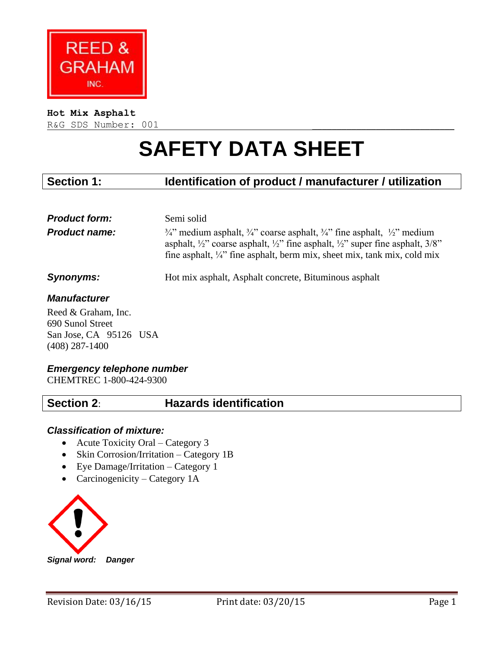

#### **Hot Mix Asphalt**

R&G SDS Number: 001

# **SAFETY DATA SHEET**

# **Section 1: Identification of product / manufacturer / utilization**

| <b>Product form:</b><br><b>Product name:</b> | Semi solid<br>$\frac{3}{4}$ medium asphalt, $\frac{3}{4}$ coarse asphalt, $\frac{3}{4}$ fine asphalt, $\frac{1}{2}$ medium<br>asphalt, $\frac{1}{2}$ coarse asphalt, $\frac{1}{2}$ fine asphalt, $\frac{1}{2}$ super fine asphalt, $\frac{3}{8}$<br>fine asphalt, $\frac{1}{4}$ fine asphalt, berm mix, sheet mix, tank mix, cold mix |
|----------------------------------------------|---------------------------------------------------------------------------------------------------------------------------------------------------------------------------------------------------------------------------------------------------------------------------------------------------------------------------------------|
| Synonyms:                                    | Hot mix asphalt, Asphalt concrete, Bituminous asphalt                                                                                                                                                                                                                                                                                 |

#### *Manufacturer*

Reed & Graham, Inc. 690 Sunol Street San Jose, CA 95126 USA (408) 287-1400

#### *Emergency telephone number*

CHEMTREC 1-800-424-9300

# **Section 2**: **Hazards identification**

#### *Classification of mixture:*

- Acute Toxicity Oral Category 3
- Skin Corrosion/Irritation Category 1B
- Eye Damage/Irritation Category 1
- Carcinogenicity Category 1A



*Signal word: Danger*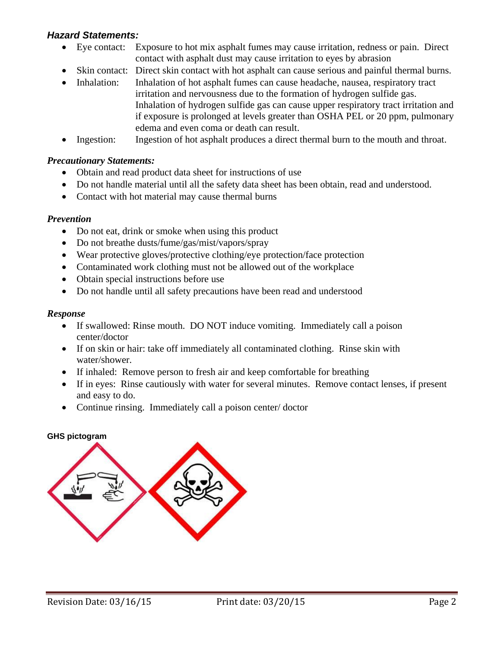# *Hazard Statements:*

- Eye contact: Exposure to hot mix asphalt fumes may cause irritation, redness or pain. Direct contact with asphalt dust may cause irritation to eyes by abrasion
- Skin contact: Direct skin contact with hot asphalt can cause serious and painful thermal burns.
- Inhalation: Inhalation of hot asphalt fumes can cause headache, nausea, respiratory tract irritation and nervousness due to the formation of hydrogen sulfide gas. Inhalation of hydrogen sulfide gas can cause upper respiratory tract irritation and if exposure is prolonged at levels greater than OSHA PEL or 20 ppm, pulmonary edema and even coma or death can result.
- Ingestion: Ingestion of hot asphalt produces a direct thermal burn to the mouth and throat.

### *Precautionary Statements:*

- Obtain and read product data sheet for instructions of use
- Do not handle material until all the safety data sheet has been obtain, read and understood.
- Contact with hot material may cause thermal burns

#### *Prevention*

- Do not eat, drink or smoke when using this product
- Do not breathe dusts/fume/gas/mist/vapors/spray
- Wear protective gloves/protective clothing/eye protection/face protection
- Contaminated work clothing must not be allowed out of the workplace
- Obtain special instructions before use
- Do not handle until all safety precautions have been read and understood

### *Response*

- If swallowed: Rinse mouth. DO NOT induce vomiting. Immediately call a poison center/doctor
- If on skin or hair: take off immediately all contaminated clothing. Rinse skin with water/shower.
- If inhaled: Remove person to fresh air and keep comfortable for breathing
- If in eyes: Rinse cautiously with water for several minutes. Remove contact lenses, if present and easy to do.
- Continue rinsing. Immediately call a poison center/ doctor

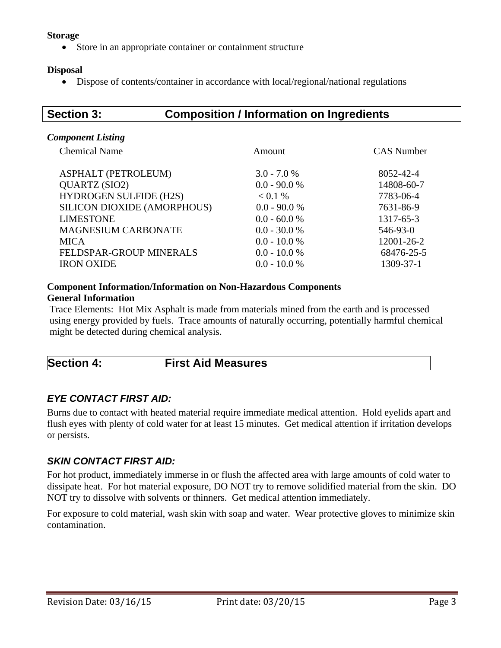#### **Storage**

Store in an appropriate container or containment structure

#### **Disposal**

Dispose of contents/container in accordance with local/regional/national regulations

# **Section 3: Composition / Information on Ingredients**

#### *Component Listing*

| <b>Chemical Name</b>          | Amount         | <b>CAS</b> Number |
|-------------------------------|----------------|-------------------|
| ASPHALT (PETROLEUM)           | $3.0 - 7.0 %$  | 8052-42-4         |
| QUARTZ (SIO2)                 | $0.0 - 90.0 %$ | 14808-60-7        |
| <b>HYDROGEN SULFIDE (H2S)</b> | < 0.1 %        | 7783-06-4         |
| SILICON DIOXIDE (AMORPHOUS)   | $0.0 - 90.0 %$ | 7631-86-9         |
| <b>LIMESTONE</b>              | $0.0 - 60.0 %$ | 1317-65-3         |
| <b>MAGNESIUM CARBONATE</b>    | $0.0 - 30.0 %$ | 546-93-0          |
| <b>MICA</b>                   | $0.0 - 10.0 %$ | 12001-26-2        |
| FELDSPAR-GROUP MINERALS       | $0.0 - 10.0 %$ | 68476-25-5        |
| <b>IRON OXIDE</b>             | $0.0 - 10.0 %$ | 1309-37-1         |
|                               |                |                   |

#### **Component Information/Information on Non-Hazardous Components General Information**

Trace Elements: Hot Mix Asphalt is made from materials mined from the earth and is processed using energy provided by fuels. Trace amounts of naturally occurring, potentially harmful chemical might be detected during chemical analysis.

#### *EYE CONTACT FIRST AID:*

Burns due to contact with heated material require immediate medical attention. Hold eyelids apart and flush eyes with plenty of cold water for at least 15 minutes. Get medical attention if irritation develops or persists.

## *SKIN CONTACT FIRST AID:*

For hot product, immediately immerse in or flush the affected area with large amounts of cold water to dissipate heat. For hot material exposure, DO NOT try to remove solidified material from the skin. DO NOT try to dissolve with solvents or thinners. Get medical attention immediately.

For exposure to cold material, wash skin with soap and water. Wear protective gloves to minimize skin contamination.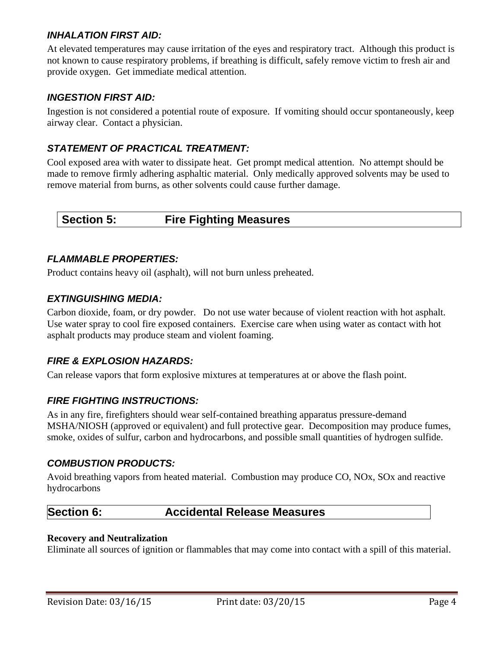## *INHALATION FIRST AID:*

At elevated temperatures may cause irritation of the eyes and respiratory tract. Although this product is not known to cause respiratory problems, if breathing is difficult, safely remove victim to fresh air and provide oxygen. Get immediate medical attention.

# *INGESTION FIRST AID:*

Ingestion is not considered a potential route of exposure. If vomiting should occur spontaneously, keep airway clear. Contact a physician.

# *STATEMENT OF PRACTICAL TREATMENT:*

Cool exposed area with water to dissipate heat. Get prompt medical attention. No attempt should be made to remove firmly adhering asphaltic material. Only medically approved solvents may be used to remove material from burns, as other solvents could cause further damage.

# **Section 5: Fire Fighting Measures**

### *FLAMMABLE PROPERTIES:*

Product contains heavy oil (asphalt), will not burn unless preheated.

### *EXTINGUISHING MEDIA:*

Carbon dioxide, foam, or dry powder. Do not use water because of violent reaction with hot asphalt. Use water spray to cool fire exposed containers. Exercise care when using water as contact with hot asphalt products may produce steam and violent foaming.

## *FIRE & EXPLOSION HAZARDS:*

Can release vapors that form explosive mixtures at temperatures at or above the flash point.

## *FIRE FIGHTING INSTRUCTIONS:*

As in any fire, firefighters should wear self-contained breathing apparatus pressure-demand MSHA/NIOSH (approved or equivalent) and full protective gear. Decomposition may produce fumes, smoke, oxides of sulfur, carbon and hydrocarbons, and possible small quantities of hydrogen sulfide.

#### *COMBUSTION PRODUCTS:*

Avoid breathing vapors from heated material. Combustion may produce CO, NOx, SOx and reactive hydrocarbons

# **Section 6: Accidental Release Measures**

#### **Recovery and Neutralization**

Eliminate all sources of ignition or flammables that may come into contact with a spill of this material.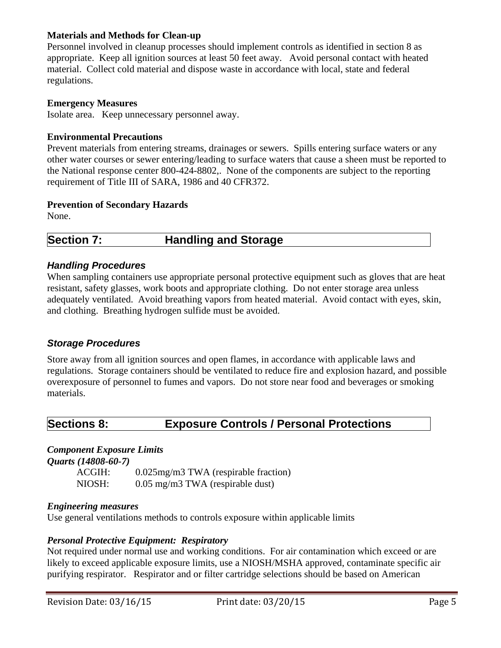#### **Materials and Methods for Clean-up**

Personnel involved in cleanup processes should implement controls as identified in section 8 as appropriate. Keep all ignition sources at least 50 feet away. Avoid personal contact with heated material. Collect cold material and dispose waste in accordance with local, state and federal regulations.

#### **Emergency Measures**

Isolate area. Keep unnecessary personnel away.

#### **Environmental Precautions**

Prevent materials from entering streams, drainages or sewers. Spills entering surface waters or any other water courses or sewer entering/leading to surface waters that cause a sheen must be reported to the National response center 800-424-8802,. None of the components are subject to the reporting requirement of Title III of SARA, 1986 and 40 CFR372.

#### **Prevention of Secondary Hazards**

None.

# **Section 7: Handling and Storage**

### *Handling Procedures*

When sampling containers use appropriate personal protective equipment such as gloves that are heat resistant, safety glasses, work boots and appropriate clothing. Do not enter storage area unless adequately ventilated. Avoid breathing vapors from heated material. Avoid contact with eyes, skin, and clothing. Breathing hydrogen sulfide must be avoided.

#### *Storage Procedures*

Store away from all ignition sources and open flames, in accordance with applicable laws and regulations. Storage containers should be ventilated to reduce fire and explosion hazard, and possible overexposure of personnel to fumes and vapors. Do not store near food and beverages or smoking materials.

# **Sections 8: Exposure Controls / Personal Protections**

#### *Component Exposure Limits*

*Quarts (14808-60-7)*

ACGIH: 0.025mg/m3 TWA (respirable fraction) NIOSH: 0.05 mg/m3 TWA (respirable dust)

#### *Engineering measures*

Use general ventilations methods to controls exposure within applicable limits

#### *Personal Protective Equipment: Respiratory*

Not required under normal use and working conditions. For air contamination which exceed or are likely to exceed applicable exposure limits, use a NIOSH/MSHA approved, contaminate specific air purifying respirator. Respirator and or filter cartridge selections should be based on American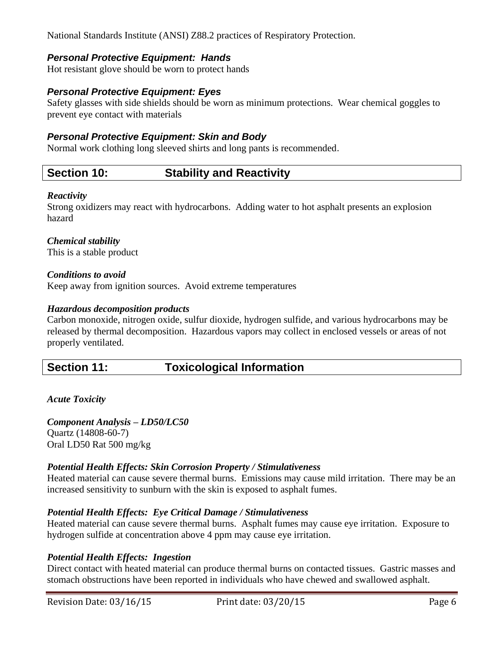National Standards Institute (ANSI) Z88.2 practices of Respiratory Protection.

## *Personal Protective Equipment: Hands*

Hot resistant glove should be worn to protect hands

## *Personal Protective Equipment: Eyes*

Safety glasses with side shields should be worn as minimum protections. Wear chemical goggles to prevent eye contact with materials

#### *Personal Protective Equipment: Skin and Body*

Normal work clothing long sleeved shirts and long pants is recommended.

# **Section 10: Stability and Reactivity**

#### *Reactivity*

Strong oxidizers may react with hydrocarbons. Adding water to hot asphalt presents an explosion hazard

#### *Chemical stability*

This is a stable product

#### *Conditions to avoid*

Keep away from ignition sources. Avoid extreme temperatures

#### *Hazardous decomposition products*

Carbon monoxide, nitrogen oxide, sulfur dioxide, hydrogen sulfide, and various hydrocarbons may be released by thermal decomposition. Hazardous vapors may collect in enclosed vessels or areas of not properly ventilated.

# **Section 11: Toxicological Information**

#### *Acute Toxicity*

*Component Analysis – LD50/LC50* Quartz (14808-60-7) Oral LD50 Rat 500 mg/kg

#### *Potential Health Effects: Skin Corrosion Property / Stimulativeness*

Heated material can cause severe thermal burns. Emissions may cause mild irritation. There may be an increased sensitivity to sunburn with the skin is exposed to asphalt fumes.

#### *Potential Health Effects: Eye Critical Damage / Stimulativeness*

Heated material can cause severe thermal burns. Asphalt fumes may cause eye irritation. Exposure to hydrogen sulfide at concentration above 4 ppm may cause eye irritation.

#### *Potential Health Effects: Ingestion*

Direct contact with heated material can produce thermal burns on contacted tissues. Gastric masses and stomach obstructions have been reported in individuals who have chewed and swallowed asphalt.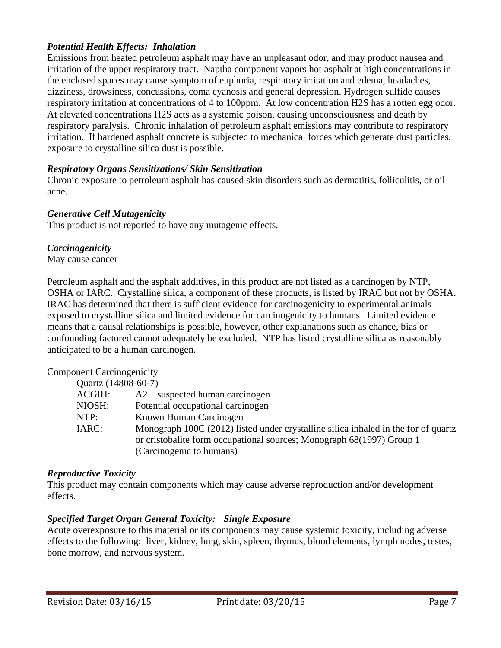#### *Potential Health Effects: Inhalation*

Emissions from heated petroleum asphalt may have an unpleasant odor, and may product nausea and irritation of the upper respiratory tract. Naptha component vapors hot asphalt at high concentrations in the enclosed spaces may cause symptom of euphoria, respiratory irritation and edema, headaches, dizziness, drowsiness, concussions, coma cyanosis and general depression. Hydrogen sulfide causes respiratory irritation at concentrations of 4 to 100ppm. At low concentration H2S has a rotten egg odor. At elevated concentrations H2S acts as a systemic poison, causing unconsciousness and death by respiratory paralysis. Chronic inhalation of petroleum asphalt emissions may contribute to respiratory irritation. If hardened asphalt concrete is subjected to mechanical forces which generate dust particles, exposure to crystalline silica dust is possible.

#### *Respiratory Organs Sensitizations/ Skin Sensitization*

Chronic exposure to petroleum asphalt has caused skin disorders such as dermatitis, folliculitis, or oil acne.

#### *Generative Cell Mutagenicity*

This product is not reported to have any mutagenic effects.

#### *Carcinogenicity*

May cause cancer

Petroleum asphalt and the asphalt additives, in this product are not listed as a carcinogen by NTP, OSHA or IARC. Crystalline silica, a component of these products, is listed by IRAC but not by OSHA. IRAC has determined that there is sufficient evidence for carcinogenicity to experimental animals exposed to crystalline silica and limited evidence for carcinogenicity to humans. Limited evidence means that a causal relationships is possible, however, other explanations such as chance, bias or confounding factored cannot adequately be excluded. NTP has listed crystalline silica as reasonably anticipated to be a human carcinogen.

#### Component Carcinogenicity

| $m$ and $m$ and $m$ |                                                                                                                                                                                          |
|---------------------|------------------------------------------------------------------------------------------------------------------------------------------------------------------------------------------|
| Quartz (14808-60-7) |                                                                                                                                                                                          |
| ACGIH:              | $A2$ – suspected human carcinogen                                                                                                                                                        |
| NIOSH:              | Potential occupational carcinogen                                                                                                                                                        |
| NTP:                | Known Human Carcinogen                                                                                                                                                                   |
| IARC:               | Monograph 100C (2012) listed under crystalline silica inhaled in the form of quartz<br>or cristobalite form occupational sources; Monograph 68(1997) Group 1<br>(Carcinogenic to humans) |

#### *Reproductive Toxicity*

This product may contain components which may cause adverse reproduction and/or development effects.

#### *Specified Target Organ General Toxicity: Single Exposure*

Acute overexposure to this material or its components may cause systemic toxicity, including adverse effects to the following: liver, kidney, lung, skin, spleen, thymus, blood elements, lymph nodes, testes, bone morrow, and nervous system.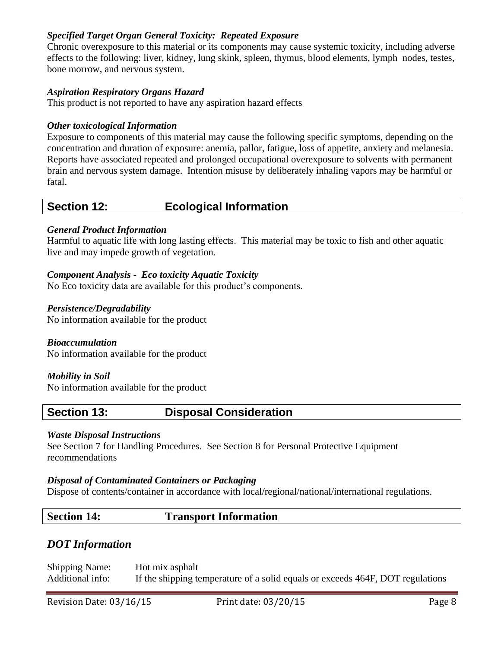#### *Specified Target Organ General Toxicity: Repeated Exposure*

Chronic overexposure to this material or its components may cause systemic toxicity, including adverse effects to the following: liver, kidney, lung skink, spleen, thymus, blood elements, lymph nodes, testes, bone morrow, and nervous system.

#### *Aspiration Respiratory Organs Hazard*

This product is not reported to have any aspiration hazard effects

#### *Other toxicological Information*

Exposure to components of this material may cause the following specific symptoms, depending on the concentration and duration of exposure: anemia, pallor, fatigue, loss of appetite, anxiety and melanesia. Reports have associated repeated and prolonged occupational overexposure to solvents with permanent brain and nervous system damage. Intention misuse by deliberately inhaling vapors may be harmful or fatal.

# **Section 12: Ecological Information**

#### *General Product Information*

Harmful to aquatic life with long lasting effects. This material may be toxic to fish and other aquatic live and may impede growth of vegetation.

#### *Component Analysis - Eco toxicity Aquatic Toxicity*

No Eco toxicity data are available for this product's components.

#### *Persistence/Degradability*

No information available for the product

*Bioaccumulation* No information available for the product

*Mobility in Soil* No information available for the product

# **Section 13: Disposal Consideration**

#### *Waste Disposal Instructions*

See Section 7 for Handling Procedures. See Section 8 for Personal Protective Equipment recommendations

#### *Disposal of Contaminated Containers or Packaging*

Dispose of contents/container in accordance with local/regional/national/international regulations.

## **Section 14: Transport Information**

## *DOT Information*

Shipping Name: Hot mix asphalt Additional info: If the shipping temperature of a solid equals or exceeds 464F, DOT regulations